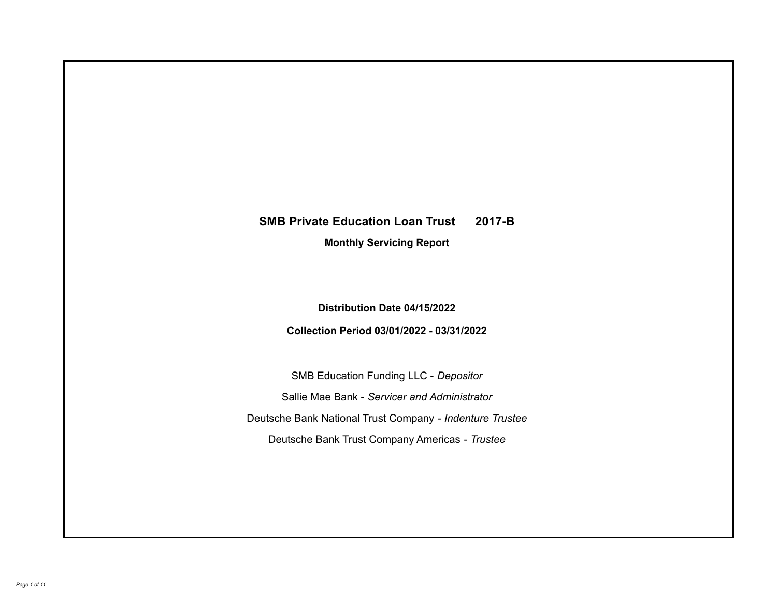# **SMB Private Education Loan Trust 2017-B**

**Monthly Servicing Report**

**Distribution Date 04/15/2022**

**Collection Period 03/01/2022 - 03/31/2022**

SMB Education Funding LLC - *Depositor* Sallie Mae Bank - *Servicer and Administrator* Deutsche Bank National Trust Company - *Indenture Trustee* Deutsche Bank Trust Company Americas - *Trustee*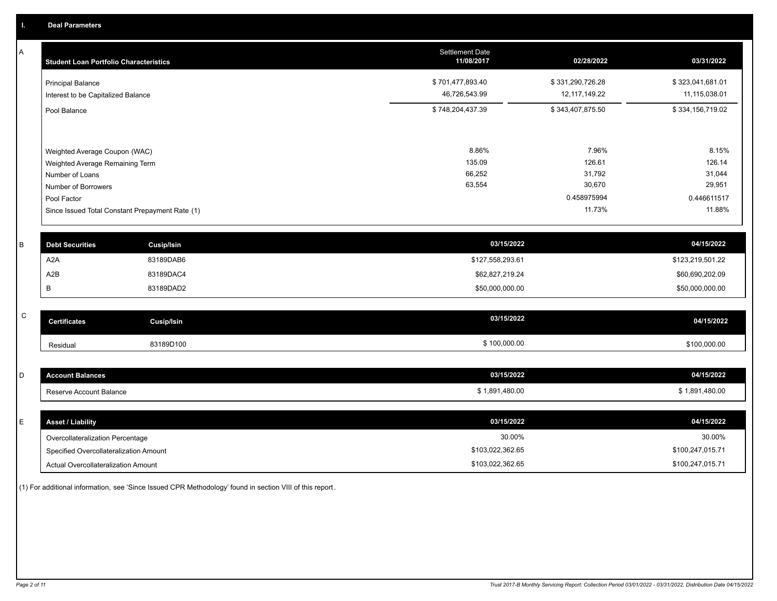A

| A         | <b>Student Loan Portfolio Characteristics</b> |                                                 | <b>Settlement Date</b><br>11/08/2017 | 02/28/2022       | 03/31/2022       |
|-----------|-----------------------------------------------|-------------------------------------------------|--------------------------------------|------------------|------------------|
|           | <b>Principal Balance</b>                      |                                                 | \$701,477,893.40                     | \$331,290,726.28 | \$323,041,681.01 |
|           | Interest to be Capitalized Balance            |                                                 | 46,726,543.99                        | 12, 117, 149.22  | 11,115,038.01    |
|           | Pool Balance                                  |                                                 | \$748,204,437.39                     | \$343,407,875.50 | \$334,156,719.02 |
|           |                                               |                                                 |                                      |                  |                  |
|           | Weighted Average Coupon (WAC)                 |                                                 | 8.86%                                | 7.96%            | 8.15%            |
|           | Weighted Average Remaining Term               |                                                 | 135.09                               | 126.61           | 126.14           |
|           | Number of Loans                               |                                                 | 66,252                               | 31,792           | 31,044           |
|           | Number of Borrowers                           |                                                 | 63,554                               | 30,670           | 29,951           |
|           | Pool Factor                                   |                                                 |                                      | 0.458975994      | 0.446611517      |
|           |                                               | Since Issued Total Constant Prepayment Rate (1) |                                      | 11.73%           | 11.88%           |
|           |                                               |                                                 |                                      |                  |                  |
| B         | <b>Debt Securities</b>                        | <b>Cusip/Isin</b>                               | 03/15/2022                           |                  | 04/15/2022       |
|           | A2A                                           | 83189DAB6                                       | \$127,558,293.61                     |                  | \$123,219,501.22 |
|           | A <sub>2</sub> B                              | 83189DAC4                                       | \$62,827,219.24                      |                  | \$60,690,202.09  |
|           | В                                             | 83189DAD2                                       | \$50,000,000.00                      |                  | \$50,000,000.00  |
|           |                                               |                                                 |                                      |                  |                  |
| ${\bf C}$ | <b>Certificates</b>                           | <b>Cusip/Isin</b>                               | 03/15/2022                           |                  | 04/15/2022       |
|           | Residual                                      | 83189D100                                       | \$100,000.00                         |                  | \$100,000.00     |
|           |                                               |                                                 |                                      |                  |                  |
| D         | <b>Account Balances</b>                       |                                                 | 03/15/2022                           |                  | 04/15/2022       |
|           | Reserve Account Balance                       |                                                 | \$1,891,480.00                       |                  | \$1,891,480.00   |

| <b>Asset / Liability</b>               | 03/15/2022       | 04/15/2022       |
|----------------------------------------|------------------|------------------|
| Overcollateralization Percentage       | 30.00%           | 30.00%           |
| Specified Overcollateralization Amount | \$103,022,362.65 | \$100,247,015.71 |
| Actual Overcollateralization Amount    | \$103,022,362.65 | \$100,247,015.71 |

(1) For additional information, see 'Since Issued CPR Methodology' found in section VIII of this report .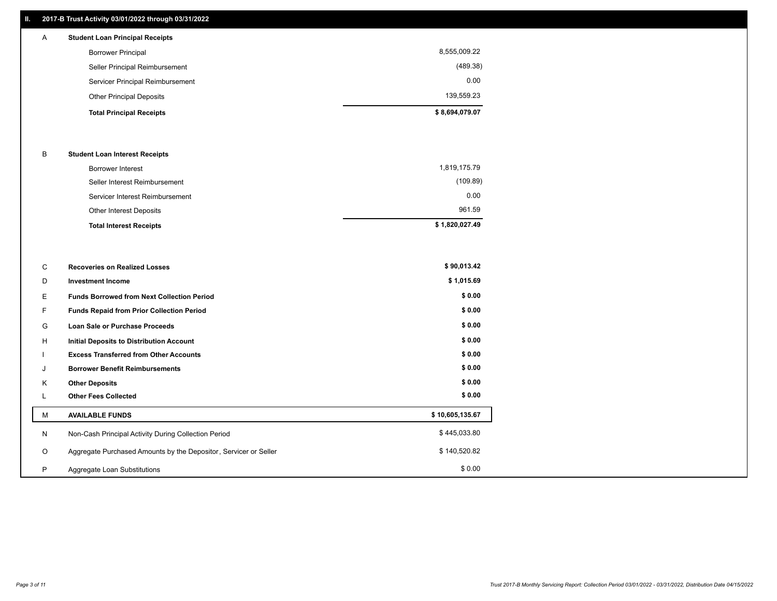# **II. 2017-B Trust Activity 03/01/2022 through 03/31/2022**

| A | <b>Student Loan Principal Receipts</b> |                |
|---|----------------------------------------|----------------|
|   | <b>Borrower Principal</b>              | 8,555,009.22   |
|   | Seller Principal Reimbursement         | (489.38)       |
|   | Servicer Principal Reimbursement       | 0.00           |
|   | <b>Other Principal Deposits</b>        | 139,559.23     |
|   | <b>Total Principal Receipts</b>        | \$8,694,079.07 |

#### B **Student Loan Interest Receipts**

| <b>Total Interest Receipts</b>  | \$1,820,027.49 |
|---------------------------------|----------------|
| <b>Other Interest Deposits</b>  | 961.59         |
| Servicer Interest Reimbursement | 0.00           |
| Seller Interest Reimbursement   | (109.89)       |
| <b>Borrower Interest</b>        | 1,819,175.79   |

| С       | <b>Recoveries on Realized Losses</b>                             | \$90,013.42     |
|---------|------------------------------------------------------------------|-----------------|
| D       | <b>Investment Income</b>                                         | \$1,015.69      |
| Е.      | <b>Funds Borrowed from Next Collection Period</b>                | \$0.00          |
| F.      | <b>Funds Repaid from Prior Collection Period</b>                 | \$0.00          |
| G       | Loan Sale or Purchase Proceeds                                   | \$0.00          |
| H       | <b>Initial Deposits to Distribution Account</b>                  | \$0.00          |
|         | <b>Excess Transferred from Other Accounts</b>                    | \$0.00          |
| J       | <b>Borrower Benefit Reimbursements</b>                           | \$0.00          |
| K       | <b>Other Deposits</b>                                            | \$0.00          |
|         | <b>Other Fees Collected</b>                                      | \$0.00          |
| М       | <b>AVAILABLE FUNDS</b>                                           | \$10,605,135.67 |
| N       | Non-Cash Principal Activity During Collection Period             | \$445,033.80    |
| $\circ$ | Aggregate Purchased Amounts by the Depositor, Servicer or Seller | \$140,520.82    |
| P       | Aggregate Loan Substitutions                                     | \$0.00          |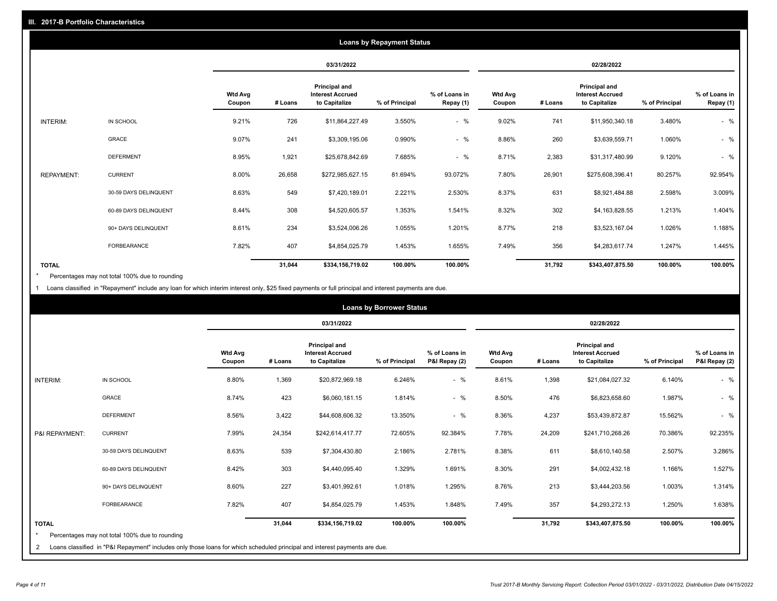|                   | <b>Loans by Repayment Status</b> |                          |         |                                                           |                |                            |                          |         |                                                           |                |                            |
|-------------------|----------------------------------|--------------------------|---------|-----------------------------------------------------------|----------------|----------------------------|--------------------------|---------|-----------------------------------------------------------|----------------|----------------------------|
|                   |                                  |                          |         | 03/31/2022                                                |                |                            |                          |         | 02/28/2022                                                |                |                            |
|                   |                                  | <b>Wtd Avg</b><br>Coupon | # Loans | Principal and<br><b>Interest Accrued</b><br>to Capitalize | % of Principal | % of Loans in<br>Repay (1) | <b>Wtd Avg</b><br>Coupon | # Loans | Principal and<br><b>Interest Accrued</b><br>to Capitalize | % of Principal | % of Loans in<br>Repay (1) |
| INTERIM:          | IN SCHOOL                        | 9.21%                    | 726     | \$11,864,227.49                                           | 3.550%         | $-$ %                      | 9.02%                    | 741     | \$11,950,340.18                                           | 3.480%         | $-$ %                      |
|                   | GRACE                            | 9.07%                    | 241     | \$3,309,195.06                                            | 0.990%         | $-$ %                      | 8.86%                    | 260     | \$3,639,559.71                                            | 1.060%         | $-$ %                      |
|                   | <b>DEFERMENT</b>                 | 8.95%                    | 1,921   | \$25,678,842.69                                           | 7.685%         | $-$ %                      | 8.71%                    | 2,383   | \$31,317,480.99                                           | 9.120%         | $-$ %                      |
| <b>REPAYMENT:</b> | <b>CURRENT</b>                   | 8.00%                    | 26,658  | \$272,985,627.15                                          | 81.694%        | 93.072%                    | 7.80%                    | 26,901  | \$275,608,396.41                                          | 80.257%        | 92.954%                    |
|                   | 30-59 DAYS DELINQUENT            | 8.63%                    | 549     | \$7,420,189.01                                            | 2.221%         | 2.530%                     | 8.37%                    | 631     | \$8,921,484.88                                            | 2.598%         | 3.009%                     |
|                   | 60-89 DAYS DELINQUENT            | 8.44%                    | 308     | \$4,520,605.57                                            | 1.353%         | 1.541%                     | 8.32%                    | 302     | \$4,163,828.55                                            | 1.213%         | 1.404%                     |
|                   | 90+ DAYS DELINQUENT              | 8.61%                    | 234     | \$3,524,006.26                                            | 1.055%         | 1.201%                     | 8.77%                    | 218     | \$3,523,167.04                                            | 1.026%         | 1.188%                     |
|                   | <b>FORBEARANCE</b>               | 7.82%                    | 407     | \$4,854,025.79                                            | 1.453%         | 1.655%                     | 7.49%                    | 356     | \$4,283,617.74                                            | 1.247%         | 1.445%                     |
| <b>TOTAL</b>      |                                  |                          | 31,044  | \$334,156,719.02                                          | 100.00%        | 100.00%                    |                          | 31,792  | \$343,407,875.50                                          | 100.00%        | 100.00%                    |

Percentages may not total 100% due to rounding \*

1 Loans classified in "Repayment" include any loan for which interim interest only, \$25 fixed payments or full principal and interest payments are due.

| <b>Loans by Borrower Status</b> |                                                                                                                            |                          |         |                                                                  |                |                                |                          |            |                                                                  |                |                                |
|---------------------------------|----------------------------------------------------------------------------------------------------------------------------|--------------------------|---------|------------------------------------------------------------------|----------------|--------------------------------|--------------------------|------------|------------------------------------------------------------------|----------------|--------------------------------|
|                                 |                                                                                                                            |                          |         | 03/31/2022                                                       |                |                                |                          | 02/28/2022 |                                                                  |                |                                |
|                                 |                                                                                                                            | <b>Wtd Avg</b><br>Coupon | # Loans | <b>Principal and</b><br><b>Interest Accrued</b><br>to Capitalize | % of Principal | % of Loans in<br>P&I Repay (2) | <b>Wtd Avg</b><br>Coupon | # Loans    | <b>Principal and</b><br><b>Interest Accrued</b><br>to Capitalize | % of Principal | % of Loans in<br>P&I Repay (2) |
| INTERIM:                        | IN SCHOOL                                                                                                                  | 8.80%                    | 1,369   | \$20,872,969.18                                                  | 6.246%         | $-$ %                          | 8.61%                    | 1,398      | \$21,084,027.32                                                  | 6.140%         | $-$ %                          |
|                                 | GRACE                                                                                                                      | 8.74%                    | 423     | \$6,060,181.15                                                   | 1.814%         | $-$ %                          | 8.50%                    | 476        | \$6,823,658.60                                                   | 1.987%         | $-$ %                          |
|                                 | <b>DEFERMENT</b>                                                                                                           | 8.56%                    | 3,422   | \$44,608,606.32                                                  | 13.350%        | $-$ %                          | 8.36%                    | 4,237      | \$53,439,872.87                                                  | 15.562%        | $-$ %                          |
| P&I REPAYMENT:                  | <b>CURRENT</b>                                                                                                             | 7.99%                    | 24,354  | \$242,614,417.77                                                 | 72.605%        | 92.384%                        | 7.78%                    | 24,209     | \$241,710,268.26                                                 | 70.386%        | 92.235%                        |
|                                 | 30-59 DAYS DELINQUENT                                                                                                      | 8.63%                    | 539     | \$7,304,430.80                                                   | 2.186%         | 2.781%                         | 8.38%                    | 611        | \$8,610,140.58                                                   | 2.507%         | 3.286%                         |
|                                 | 60-89 DAYS DELINQUENT                                                                                                      | 8.42%                    | 303     | \$4,440,095.40                                                   | 1.329%         | 1.691%                         | 8.30%                    | 291        | \$4,002,432.18                                                   | 1.166%         | 1.527%                         |
|                                 | 90+ DAYS DELINQUENT                                                                                                        | 8.60%                    | 227     | \$3,401,992.61                                                   | 1.018%         | 1.295%                         | 8.76%                    | 213        | \$3,444,203.56                                                   | 1.003%         | 1.314%                         |
|                                 | FORBEARANCE                                                                                                                | 7.82%                    | 407     | \$4,854,025.79                                                   | 1.453%         | 1.848%                         | 7.49%                    | 357        | \$4,293,272.13                                                   | 1.250%         | 1.638%                         |
| <b>TOTAL</b><br>$\star$         | Percentages may not total 100% due to rounding                                                                             |                          | 31,044  | \$334,156,719.02                                                 | 100.00%        | 100.00%                        |                          | 31,792     | \$343,407,875.50                                                 | 100.00%        | 100.00%                        |
| 2                               | Loans classified in "P&I Repayment" includes only those loans for which scheduled principal and interest payments are due. |                          |         |                                                                  |                |                                |                          |            |                                                                  |                |                                |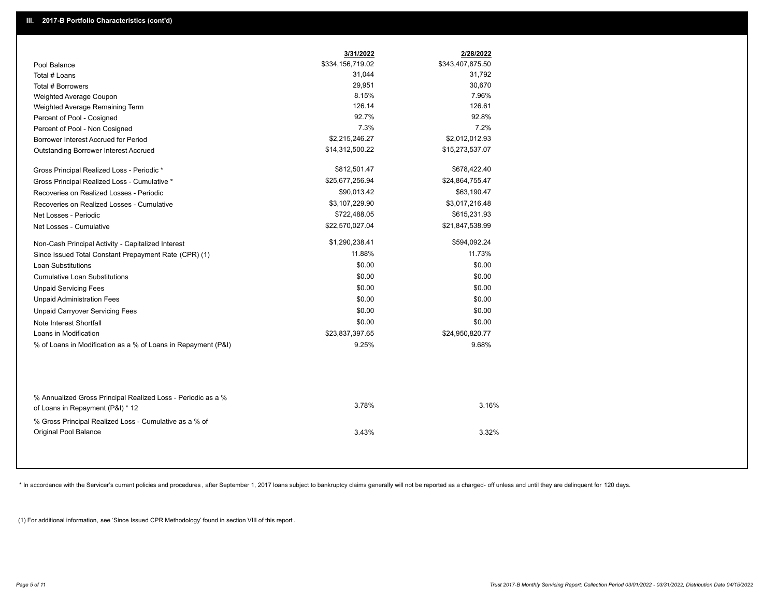|                                                                                        | 3/31/2022        | 2/28/2022        |
|----------------------------------------------------------------------------------------|------------------|------------------|
| Pool Balance                                                                           | \$334,156,719.02 | \$343,407,875.50 |
| Total # Loans                                                                          | 31,044           | 31,792           |
| Total # Borrowers                                                                      | 29,951           | 30,670           |
| Weighted Average Coupon                                                                | 8.15%            | 7.96%            |
| Weighted Average Remaining Term                                                        | 126.14           | 126.61           |
| Percent of Pool - Cosigned                                                             | 92.7%            | 92.8%            |
| Percent of Pool - Non Cosigned                                                         | 7.3%             | 7.2%             |
| Borrower Interest Accrued for Period                                                   | \$2,215,246.27   | \$2,012,012.93   |
| Outstanding Borrower Interest Accrued                                                  | \$14,312,500.22  | \$15,273,537.07  |
| Gross Principal Realized Loss - Periodic *                                             | \$812,501.47     | \$678,422.40     |
| Gross Principal Realized Loss - Cumulative *                                           | \$25,677,256.94  | \$24,864,755.47  |
| Recoveries on Realized Losses - Periodic                                               | \$90,013.42      | \$63,190.47      |
| Recoveries on Realized Losses - Cumulative                                             | \$3,107,229.90   | \$3,017,216.48   |
| Net Losses - Periodic                                                                  | \$722,488.05     | \$615,231.93     |
| Net Losses - Cumulative                                                                | \$22,570,027.04  | \$21,847,538.99  |
| Non-Cash Principal Activity - Capitalized Interest                                     | \$1,290,238.41   | \$594,092.24     |
| Since Issued Total Constant Prepayment Rate (CPR) (1)                                  | 11.88%           | 11.73%           |
| Loan Substitutions                                                                     | \$0.00           | \$0.00           |
| <b>Cumulative Loan Substitutions</b>                                                   | \$0.00           | \$0.00           |
| <b>Unpaid Servicing Fees</b>                                                           | \$0.00           | \$0.00           |
| <b>Unpaid Administration Fees</b>                                                      | \$0.00           | \$0.00           |
| <b>Unpaid Carryover Servicing Fees</b>                                                 | \$0.00           | \$0.00           |
| Note Interest Shortfall                                                                | \$0.00           | \$0.00           |
| Loans in Modification                                                                  | \$23,837,397.65  | \$24,950,820.77  |
| % of Loans in Modification as a % of Loans in Repayment (P&I)                          | 9.25%            | 9.68%            |
| % Annualized Gross Principal Realized Loss - Periodic as a %                           | 3.78%            | 3.16%            |
| of Loans in Repayment (P&I) * 12                                                       |                  |                  |
| % Gross Principal Realized Loss - Cumulative as a % of<br><b>Original Pool Balance</b> | 3.43%            | 3.32%            |

\* In accordance with the Servicer's current policies and procedures, after September 1, 2017 loans subject to bankruptcy claims generally will not be reported as a charged- off unless and until they are delinquent for 120

(1) For additional information, see 'Since Issued CPR Methodology' found in section VIII of this report .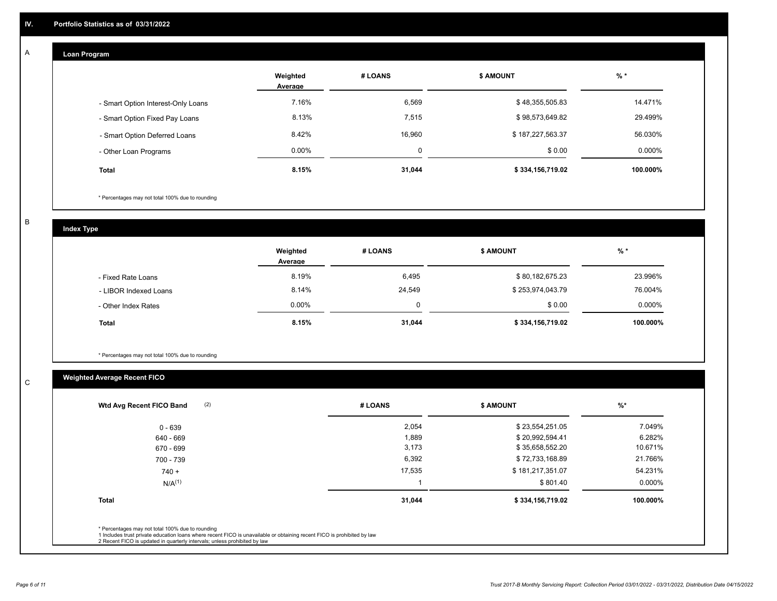#### **Loan Program**  A

|                                    | Weighted<br>Average | # LOANS | <b>\$ AMOUNT</b> | $%$ *    |
|------------------------------------|---------------------|---------|------------------|----------|
| - Smart Option Interest-Only Loans | 7.16%               | 6,569   | \$48,355,505.83  | 14.471%  |
| - Smart Option Fixed Pay Loans     | 8.13%               | 7,515   | \$98,573,649.82  | 29.499%  |
| - Smart Option Deferred Loans      | 8.42%               | 16.960  | \$187,227,563.37 | 56.030%  |
| - Other Loan Programs              | $0.00\%$            |         | \$0.00           | 0.000%   |
| <b>Total</b>                       | 8.15%               | 31,044  | \$334,156,719.02 | 100.000% |

\* Percentages may not total 100% due to rounding

B

C

**Index Type**

|                       | Weighted<br>Average | # LOANS | <b>\$ AMOUNT</b> | % *      |
|-----------------------|---------------------|---------|------------------|----------|
| - Fixed Rate Loans    | 8.19%               | 6,495   | \$80,182,675.23  | 23.996%  |
| - LIBOR Indexed Loans | 8.14%               | 24,549  | \$253,974,043.79 | 76.004%  |
| - Other Index Rates   | $0.00\%$            | 0       | \$0.00           | 0.000%   |
| <b>Total</b>          | 8.15%               | 31,044  | \$334,156,719.02 | 100.000% |

\* Percentages may not total 100% due to rounding

# **Weighted Average Recent FICO**

| 2,054<br>1,889<br>3,173<br>6,392 | \$23,554,251.05<br>\$20,992,594.41<br>\$35,658,552.20<br>\$72,733,168.89 | 7.049%<br>6.282%<br>10.671% |
|----------------------------------|--------------------------------------------------------------------------|-----------------------------|
|                                  |                                                                          |                             |
|                                  |                                                                          |                             |
|                                  |                                                                          |                             |
|                                  |                                                                          | 21.766%                     |
| 17,535                           | \$181,217,351.07                                                         | 54.231%                     |
|                                  | \$801.40                                                                 | $0.000\%$                   |
|                                  | \$334,156,719.02                                                         | 100.000%                    |
|                                  | 31,044                                                                   |                             |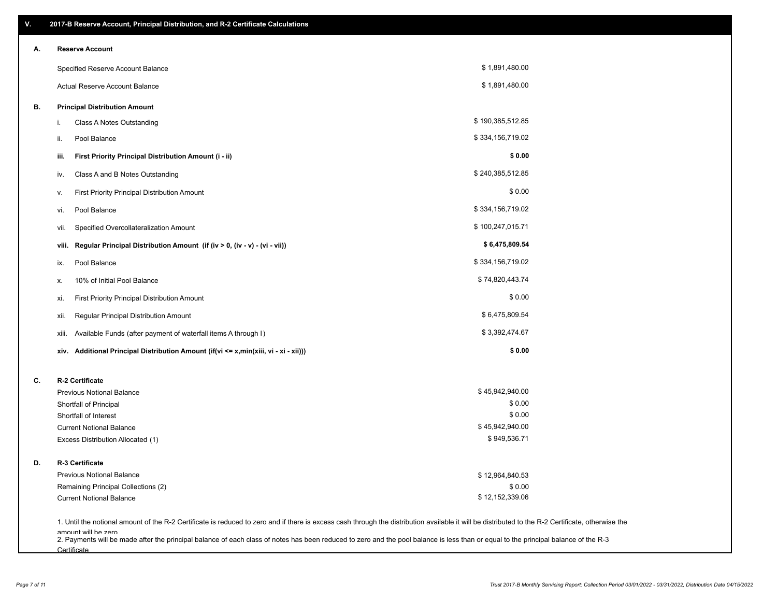| ۷. | 2017-B Reserve Account, Principal Distribution, and R-2 Certificate Calculations                                                                                                                                          |                  |  |
|----|---------------------------------------------------------------------------------------------------------------------------------------------------------------------------------------------------------------------------|------------------|--|
| Α. | <b>Reserve Account</b>                                                                                                                                                                                                    |                  |  |
|    | Specified Reserve Account Balance                                                                                                                                                                                         | \$1,891,480.00   |  |
|    | Actual Reserve Account Balance                                                                                                                                                                                            | \$1,891,480.00   |  |
| В. | <b>Principal Distribution Amount</b>                                                                                                                                                                                      |                  |  |
|    | Class A Notes Outstanding<br>i.                                                                                                                                                                                           | \$190,385,512.85 |  |
|    | Pool Balance<br>ii.                                                                                                                                                                                                       | \$334,156,719.02 |  |
|    | First Priority Principal Distribution Amount (i - ii)<br>iii.                                                                                                                                                             | \$0.00           |  |
|    | Class A and B Notes Outstanding<br>iv.                                                                                                                                                                                    | \$240,385,512.85 |  |
|    | First Priority Principal Distribution Amount<br>۷.                                                                                                                                                                        | \$0.00           |  |
|    | Pool Balance<br>vi.                                                                                                                                                                                                       | \$334,156,719.02 |  |
|    | Specified Overcollateralization Amount<br>vii.                                                                                                                                                                            | \$100,247,015.71 |  |
|    | Regular Principal Distribution Amount (if (iv > 0, (iv - v) - (vi - vii))<br>viii.                                                                                                                                        | \$6,475,809.54   |  |
|    | Pool Balance<br>ix.                                                                                                                                                                                                       | \$334,156,719.02 |  |
|    | 10% of Initial Pool Balance<br>х.                                                                                                                                                                                         | \$74,820,443.74  |  |
|    | First Priority Principal Distribution Amount<br>xi.                                                                                                                                                                       | \$0.00           |  |
|    | Regular Principal Distribution Amount<br>xii.                                                                                                                                                                             | \$6,475,809.54   |  |
|    | Available Funds (after payment of waterfall items A through I)<br>xiii.                                                                                                                                                   | \$3,392,474.67   |  |
|    | xiv. Additional Principal Distribution Amount (if(vi <= x,min(xiii, vi - xi - xii)))                                                                                                                                      | \$0.00           |  |
| C. | R-2 Certificate                                                                                                                                                                                                           |                  |  |
|    | <b>Previous Notional Balance</b>                                                                                                                                                                                          | \$45,942,940.00  |  |
|    | Shortfall of Principal                                                                                                                                                                                                    | \$0.00           |  |
|    | Shortfall of Interest                                                                                                                                                                                                     | \$0.00           |  |
|    | <b>Current Notional Balance</b>                                                                                                                                                                                           | \$45,942,940.00  |  |
|    | Excess Distribution Allocated (1)                                                                                                                                                                                         | \$949,536.71     |  |
| D. | R-3 Certificate                                                                                                                                                                                                           |                  |  |
|    | <b>Previous Notional Balance</b>                                                                                                                                                                                          | \$12,964,840.53  |  |
|    | Remaining Principal Collections (2)                                                                                                                                                                                       | \$0.00           |  |
|    | <b>Current Notional Balance</b>                                                                                                                                                                                           | \$12,152,339.06  |  |
|    | 1. Until the notional amount of the R-2 Certificate is reduced to zero and if there is excess cash through the distribution available it will be distributed to the R-2 Certificate, otherwise the<br>amount will be zero |                  |  |

amount will be zero<br>2. Payments will be made after the principal balance of each class of notes has been reduced to zero and the pool balance is less than or equal to the principal balance of the R-3 **Certificate**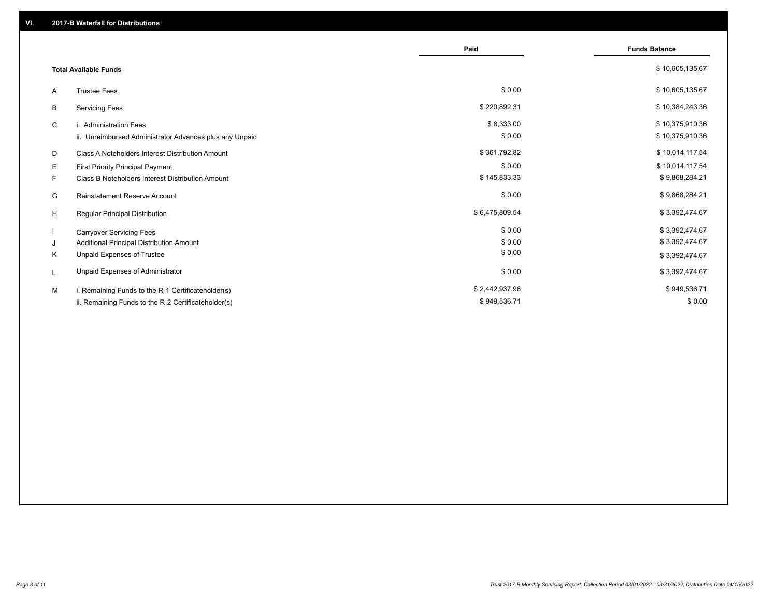|                              |                                                         | Paid           | <b>Funds Balance</b> |
|------------------------------|---------------------------------------------------------|----------------|----------------------|
| <b>Total Available Funds</b> |                                                         |                | \$10,605,135.67      |
| A                            | <b>Trustee Fees</b>                                     | \$0.00         | \$10,605,135.67      |
| В                            | <b>Servicing Fees</b>                                   | \$220,892.31   | \$10,384,243.36      |
| C                            | i. Administration Fees                                  | \$8,333.00     | \$10,375,910.36      |
|                              | ii. Unreimbursed Administrator Advances plus any Unpaid | \$0.00         | \$10,375,910.36      |
| D                            | Class A Noteholders Interest Distribution Amount        | \$361,792.82   | \$10,014,117.54      |
| Е                            | First Priority Principal Payment                        | \$0.00         | \$10,014,117.54      |
| F.                           | Class B Noteholders Interest Distribution Amount        | \$145,833.33   | \$9,868,284.21       |
| G                            | <b>Reinstatement Reserve Account</b>                    | \$0.00         | \$9,868,284.21       |
| H                            | Regular Principal Distribution                          | \$6,475,809.54 | \$3,392,474.67       |
|                              | <b>Carryover Servicing Fees</b>                         | \$0.00         | \$3,392,474.67       |
| J                            | Additional Principal Distribution Amount                | \$0.00         | \$3,392,474.67       |
| Κ                            | Unpaid Expenses of Trustee                              | \$0.00         | \$3,392,474.67       |
| L                            | Unpaid Expenses of Administrator                        | \$0.00         | \$3,392,474.67       |
| M                            | i. Remaining Funds to the R-1 Certificateholder(s)      | \$2,442,937.96 | \$949,536.71         |
|                              | ii. Remaining Funds to the R-2 Certificateholder(s)     | \$949,536.71   | \$0.00               |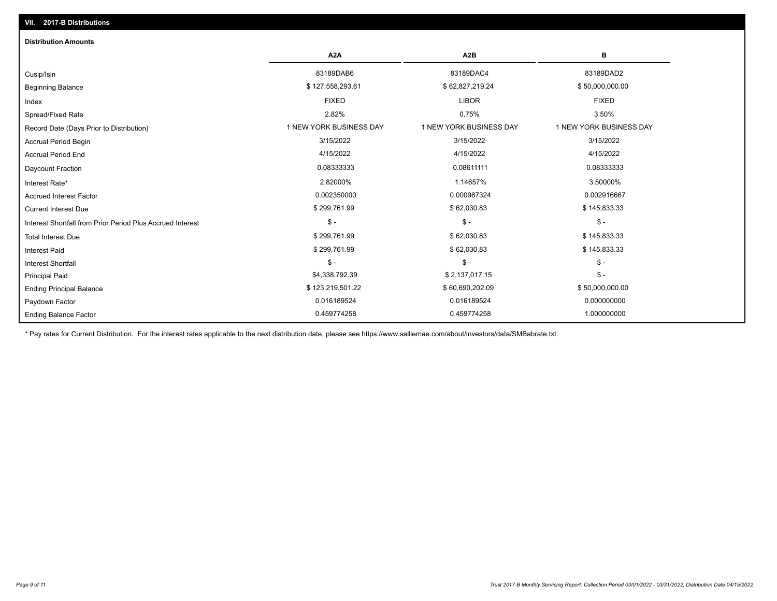| <b>Distribution Amounts</b>                                |                         |                         |                         |  |  |  |
|------------------------------------------------------------|-------------------------|-------------------------|-------------------------|--|--|--|
|                                                            | A <sub>2</sub> A        | A <sub>2</sub> B        | в                       |  |  |  |
| Cusip/Isin                                                 | 83189DAB6               | 83189DAC4               | 83189DAD2               |  |  |  |
| <b>Beginning Balance</b>                                   | \$127,558,293.61        | \$62,827,219.24         | \$50,000,000.00         |  |  |  |
| Index                                                      | <b>FIXED</b>            | <b>LIBOR</b>            | <b>FIXED</b>            |  |  |  |
| Spread/Fixed Rate                                          | 2.82%                   | 0.75%                   | 3.50%                   |  |  |  |
| Record Date (Days Prior to Distribution)                   | 1 NEW YORK BUSINESS DAY | 1 NEW YORK BUSINESS DAY | 1 NEW YORK BUSINESS DAY |  |  |  |
| <b>Accrual Period Begin</b>                                | 3/15/2022               | 3/15/2022               | 3/15/2022               |  |  |  |
| <b>Accrual Period End</b>                                  | 4/15/2022               | 4/15/2022               | 4/15/2022               |  |  |  |
| Daycount Fraction                                          | 0.08333333              | 0.08611111              | 0.08333333              |  |  |  |
| Interest Rate*                                             | 2.82000%                | 1.14657%                | 3.50000%                |  |  |  |
| <b>Accrued Interest Factor</b>                             | 0.002350000             | 0.000987324             | 0.002916667             |  |  |  |
| <b>Current Interest Due</b>                                | \$299,761.99            | \$62,030.83             | \$145,833.33            |  |  |  |
| Interest Shortfall from Prior Period Plus Accrued Interest | $\mathcal{S}$ -         | $$ -$                   | $\mathcal{S}$ -         |  |  |  |
| <b>Total Interest Due</b>                                  | \$299,761.99            | \$62,030.83             | \$145,833.33            |  |  |  |
| <b>Interest Paid</b>                                       | \$299,761.99            | \$62,030.83             | \$145,833.33            |  |  |  |
| <b>Interest Shortfall</b>                                  | $\mathsf{\$}$ -         | $$ -$                   | $\mathsf{\$}$ -         |  |  |  |
| <b>Principal Paid</b>                                      | \$4,338,792.39          | \$2,137,017.15          | $$ -$                   |  |  |  |
| <b>Ending Principal Balance</b>                            | \$123,219,501.22        | \$60,690,202.09         | \$50,000,000.00         |  |  |  |
| Paydown Factor                                             | 0.016189524             | 0.016189524             | 0.000000000             |  |  |  |
| <b>Ending Balance Factor</b>                               | 0.459774258             | 0.459774258             | 1.000000000             |  |  |  |

\* Pay rates for Current Distribution. For the interest rates applicable to the next distribution date, please see https://www.salliemae.com/about/investors/data/SMBabrate.txt.

**VII. 2017-B Distributions**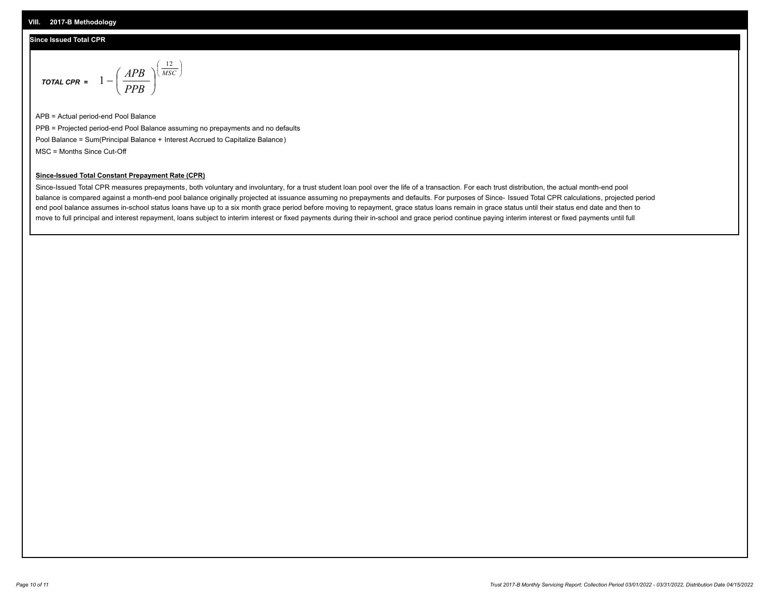### **Since Issued Total CPR**

$$
\text{total cPR} = 1 - \left(\frac{APB}{PPB}\right)^{\left(\frac{12}{MSC}\right)}
$$

APB = Actual period-end Pool Balance PPB = Projected period-end Pool Balance assuming no prepayments and no defaults Pool Balance = Sum(Principal Balance + Interest Accrued to Capitalize Balance) MSC = Months Since Cut-Off

I J Ι

#### **Since-Issued Total Constant Prepayment Rate (CPR)**

Since-Issued Total CPR measures prepayments, both voluntary and involuntary, for a trust student loan pool over the life of a transaction. For each trust distribution, the actual month-end pool balance is compared against a month-end pool balance originally projected at issuance assuming no prepayments and defaults. For purposes of Since- Issued Total CPR calculations, projected period end pool balance assumes in-school status loans have up to a six month grace period before moving to repayment, grace status loans remain in grace status until their status end date and then to move to full principal and interest repayment, loans subject to interim interest or fixed payments during their in-school and grace period continue paying interim interest or fixed payments until full